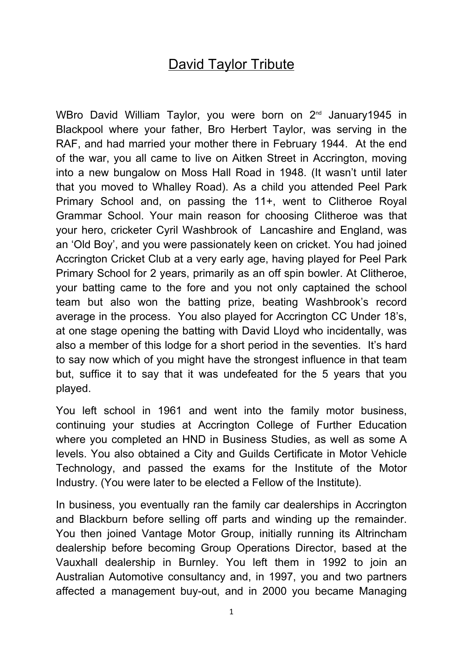## David Taylor Tribute

WBro David William Taylor, you were born on 2<sup>nd</sup> January1945 in Blackpool where your father, Bro Herbert Taylor, was serving in the RAF, and had married your mother there in February 1944. At the end of the war, you all came to live on Aitken Street in Accrington, moving into a new bungalow on Moss Hall Road in 1948. (It wasn't until later that you moved to Whalley Road). As a child you attended Peel Park Primary School and, on passing the 11+, went to Clitheroe Royal Grammar School. Your main reason for choosing Clitheroe was that your hero, cricketer Cyril Washbrook of Lancashire and England, was an 'Old Boy', and you were passionately keen on cricket. You had joined Accrington Cricket Club at a very early age, having played for Peel Park Primary School for 2 years, primarily as an off spin bowler. At Clitheroe, your batting came to the fore and you not only captained the school team but also won the batting prize, beating Washbrook's record average in the process. You also played for Accrington CC Under 18's, at one stage opening the batting with David Lloyd who incidentally, was also a member of this lodge for a short period in the seventies. It's hard to say now which of you might have the strongest influence in that team but, suffice it to say that it was undefeated for the 5 years that you played.

You left school in 1961 and went into the family motor business, continuing your studies at Accrington College of Further Education where you completed an HND in Business Studies, as well as some A levels. You also obtained a City and Guilds Certificate in Motor Vehicle Technology, and passed the exams for the Institute of the Motor Industry. (You were later to be elected a Fellow of the Institute).

In business, you eventually ran the family car dealerships in Accrington and Blackburn before selling off parts and winding up the remainder. You then joined Vantage Motor Group, initially running its Altrincham dealership before becoming Group Operations Director, based at the Vauxhall dealership in Burnley. You left them in 1992 to join an Australian Automotive consultancy and, in 1997, you and two partners affected a management buy-out, and in 2000 you became Managing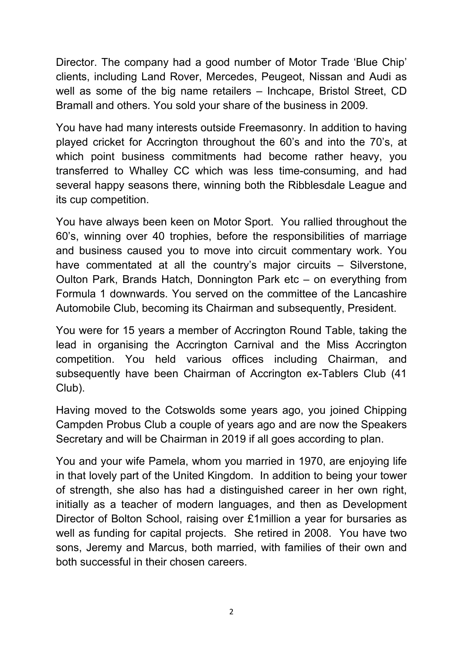Director. The company had a good number of Motor Trade 'Blue Chip' clients, including Land Rover, Mercedes, Peugeot, Nissan and Audi as well as some of the big name retailers – Inchcape, Bristol Street, CD Bramall and others. You sold your share of the business in 2009.

You have had many interests outside Freemasonry. In addition to having played cricket for Accrington throughout the 60's and into the 70's, at which point business commitments had become rather heavy, you transferred to Whalley CC which was less time-consuming, and had several happy seasons there, winning both the Ribblesdale League and its cup competition.

You have always been keen on Motor Sport. You rallied throughout the 60's, winning over 40 trophies, before the responsibilities of marriage and business caused you to move into circuit commentary work. You have commentated at all the country's major circuits – Silverstone, Oulton Park, Brands Hatch, Donnington Park etc – on everything from Formula 1 downwards. You served on the committee of the Lancashire Automobile Club, becoming its Chairman and subsequently, President.

You were for 15 years a member of Accrington Round Table, taking the lead in organising the Accrington Carnival and the Miss Accrington competition. You held various offices including Chairman, and subsequently have been Chairman of Accrington ex-Tablers Club (41 Club).

Having moved to the Cotswolds some years ago, you joined Chipping Campden Probus Club a couple of years ago and are now the Speakers Secretary and will be Chairman in 2019 if all goes according to plan.

You and your wife Pamela, whom you married in 1970, are enjoying life in that lovely part of the United Kingdom. In addition to being your tower of strength, she also has had a distinguished career in her own right, initially as a teacher of modern languages, and then as Development Director of Bolton School, raising over £1million a year for bursaries as well as funding for capital projects. She retired in 2008. You have two sons, Jeremy and Marcus, both married, with families of their own and both successful in their chosen careers.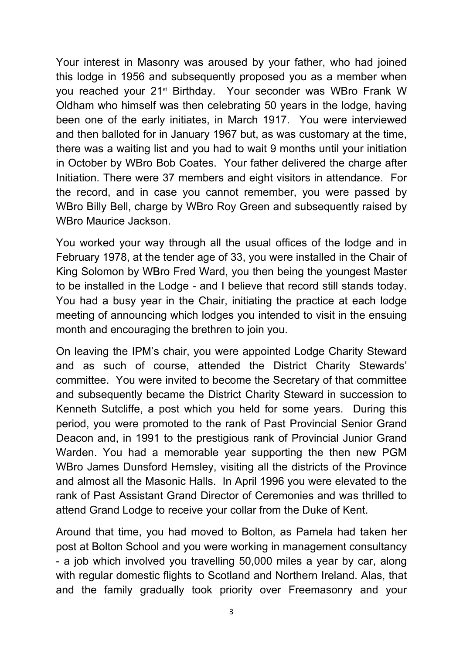Your interest in Masonry was aroused by your father, who had joined this lodge in 1956 and subsequently proposed you as a member when you reached your 21<sup>st</sup> Birthday. Your seconder was WBro Frank W Oldham who himself was then celebrating 50 years in the lodge, having been one of the early initiates, in March 1917. You were interviewed and then balloted for in January 1967 but, as was customary at the time, there was a waiting list and you had to wait 9 months until your initiation in October by WBro Bob Coates. Your father delivered the charge after Initiation. There were 37 members and eight visitors in attendance. For the record, and in case you cannot remember, you were passed by WBro Billy Bell, charge by WBro Roy Green and subsequently raised by WBro Maurice Jackson.

You worked your way through all the usual offices of the lodge and in February 1978, at the tender age of 33, you were installed in the Chair of King Solomon by WBro Fred Ward, you then being the youngest Master to be installed in the Lodge - and I believe that record still stands today. You had a busy year in the Chair, initiating the practice at each lodge meeting of announcing which lodges you intended to visit in the ensuing month and encouraging the brethren to join you.

On leaving the IPM's chair, you were appointed Lodge Charity Steward and as such of course, attended the District Charity Stewards' committee. You were invited to become the Secretary of that committee and subsequently became the District Charity Steward in succession to Kenneth Sutcliffe, a post which you held for some years. During this period, you were promoted to the rank of Past Provincial Senior Grand Deacon and, in 1991 to the prestigious rank of Provincial Junior Grand Warden. You had a memorable year supporting the then new PGM WBro James Dunsford Hemsley, visiting all the districts of the Province and almost all the Masonic Halls. In April 1996 you were elevated to the rank of Past Assistant Grand Director of Ceremonies and was thrilled to attend Grand Lodge to receive your collar from the Duke of Kent.

Around that time, you had moved to Bolton, as Pamela had taken her post at Bolton School and you were working in management consultancy - a job which involved you travelling 50,000 miles a year by car, along with regular domestic flights to Scotland and Northern Ireland. Alas, that and the family gradually took priority over Freemasonry and your